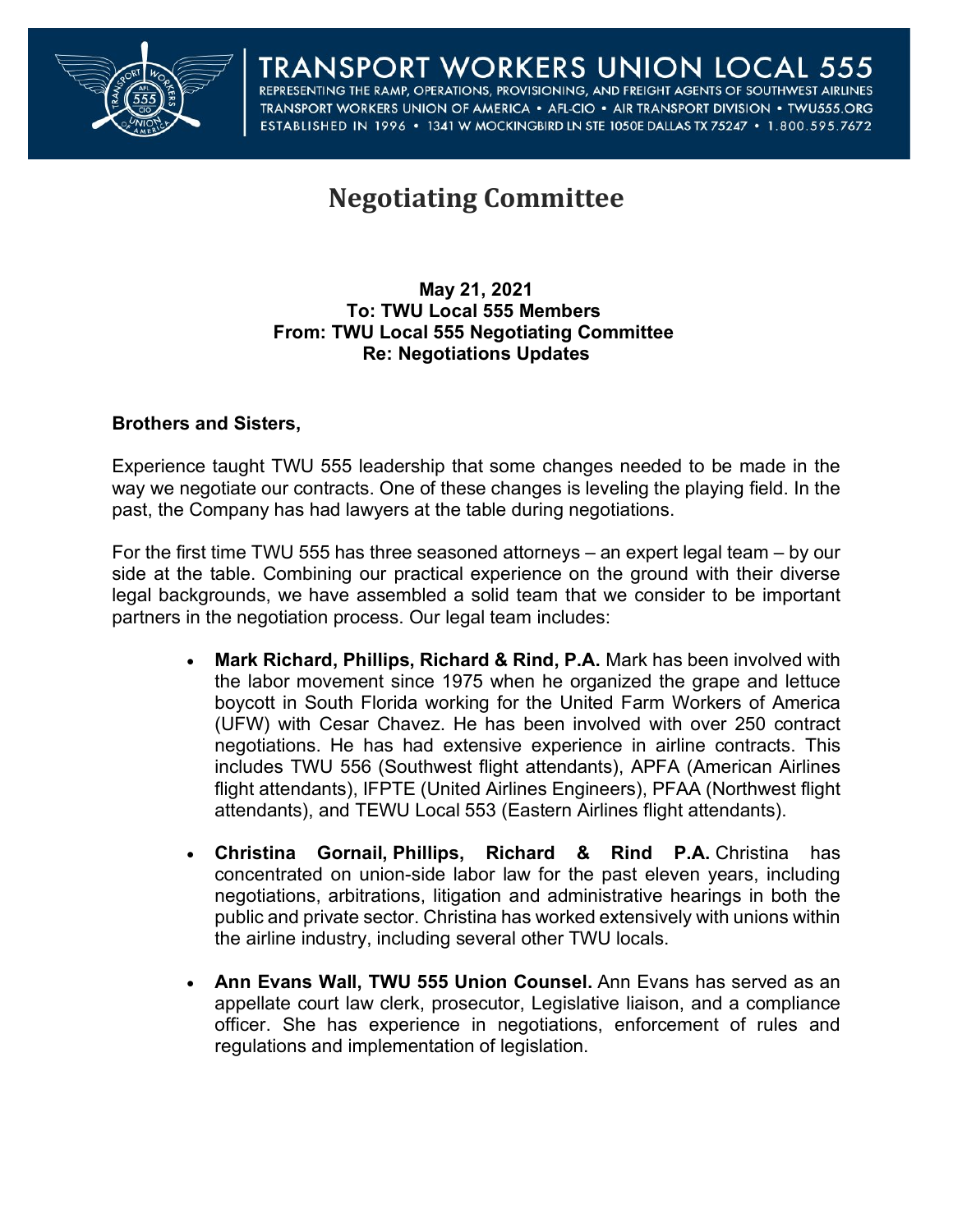

TRANSPORT WORKERS UNION LOCAL 555 REPRESENTING THE RAMP, OPERATIONS, PROVISIONING, AND FREIGHT AGENTS OF SOUTHWEST AIRLINES TRANSPORT WORKERS UNION OF AMERICA • AFL-CIO • AIR TRANSPORT DIVISION • TWU555.ORG ESTABLISHED IN 1996 · 1341 W MOCKINGBIRD LN STE 1050E DALLAS TX 75247 · 1.800.595.7672

## **Negotiating Committee**

## **May 21, 2021 To: TWU Local 555 Members From: TWU Local 555 Negotiating Committee Re: Negotiations Updates**

## **Brothers and Sisters,**

Experience taught TWU 555 leadership that some changes needed to be made in the way we negotiate our contracts. One of these changes is leveling the playing field. In the past, the Company has had lawyers at the table during negotiations.

For the first time TWU 555 has three seasoned attorneys – an expert legal team – by our side at the table. Combining our practical experience on the ground with their diverse legal backgrounds, we have assembled a solid team that we consider to be important partners in the negotiation process. Our legal team includes:

- **Mark Richard, Phillips, Richard & Rind, P.A.** Mark has been involved with the labor movement since 1975 when he organized the grape and lettuce boycott in South Florida working for the United Farm Workers of America (UFW) with Cesar Chavez. He has been involved with over 250 contract negotiations. He has had extensive experience in airline contracts. This includes TWU 556 (Southwest flight attendants), APFA (American Airlines flight attendants), IFPTE (United Airlines Engineers), PFAA (Northwest flight attendants), and TEWU Local 553 (Eastern Airlines flight attendants).
- **Christina Gornail, Phillips, Richard & Rind P.A.** Christina has concentrated on union-side labor law for the past eleven years, including negotiations, arbitrations, litigation and administrative hearings in both the public and private sector. Christina has worked extensively with unions within the airline industry, including several other TWU locals.
- **Ann Evans Wall, TWU 555 Union Counsel.** Ann Evans has served as an appellate court law clerk, prosecutor, Legislative liaison, and a compliance officer. She has experience in negotiations, enforcement of rules and regulations and implementation of legislation.